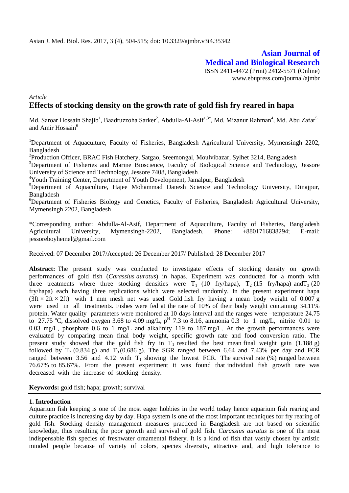**Asian Journal of Medical and Biological Research** ISSN 2411-4472 (Print) 2412-5571 (Online) www.ebupress.com/journal/ajmbr

*Article*

# **Effects of stocking density on the growth rate of gold fish fry reared in hapa**

Md. Saroar Hossain Shajib<sup>1</sup>, Baadruzzoha Sarker<sup>2</sup>, Abdulla-Al-Asif<sup>1,3\*</sup>, Md. Mizanur Rahman<sup>4</sup>, Md. Abu Zafar<sup>5</sup> and Amir Hossain<sup>6</sup>

<sup>1</sup>Department of Aquaculture, Faculty of Fisheries, Bangladesh Agricultural University, Mymensingh 2202, Bangladesh

<sup>2</sup> Production Officer, BRAC Fish Hatchery, Satgao, Sreemongal, Moulvibazar, Sylhet 3214, Bangladesh

<sup>3</sup>Department of Fisheries and Marine Bioscience, Faculty of Biological Science and Technology, Jessore University of Science and Technology, Jessore 7408, Bangladesh

<sup>4</sup>Youth Training Center, Department of Youth Development, Jamalpur, Bangladesh

<sup>5</sup>Department of Aquaculture, Hajee Mohammad Danesh Science and Technology University, Dinajpur, Bangladesh

<sup>6</sup>Department of Fisheries Biology and Genetics, Faculty of Fisheries, Bangladesh Agricultural University, Mymensingh 2202, Bangladesh

\*Corresponding author: Abdulla-Al-Asif, Department of Aquaculture, Faculty of Fisheries, Bangladesh Agricultural University, Mymensingh-2202, Bangladesh. Phone: +8801716838294; E-mail: jessoreboyhemel@gmail.com

Received: 07 December 2017/Accepted: 26 December 2017/ Published: 28 December 2017

Abstract: The present study was conducted to investigate effects of stocking density on growth performances of gold fish (*Carassius auratus*) in hapas. Experiment was conducted for a month with three treatments where three stocking densities were  $T_1$  (10 fry/hapa),  $T_2$  (15 fry/hapa) and  $T_3$  (20 fry/hapa) each having three replications which were selected randomly. In the present experiment hapa  $(3$ ft × 2ft × 2ft) with 1 mm mesh net was used. Gold fish fry having a mean body weight of 0.007 g were used in all treatments. Fishes were fed at the rate of 10% of their body weight containing 34.11% protein. Water quality parameters were monitored at 10 days interval and the ranges were –temperature 24.75 to 27.75  $^{\circ}$ C, dissolved oxygen 3.68 to 4.09 mg/L, p<sup>H</sup> 7.3 to 8.16, ammonia 0.3 to 1 mg/L, nitrite 0.01 to 0.03 mg/L, phosphate 0.6 to 1 mg/L and alkalinity 119 to 187 mg/L. At the growth performances were evaluated by comparing mean final body weight, specific growth rate and food conversion ratio. The present study showed that the gold fish fry in  $T_1$  resulted the best mean final weight gain (1.188 g) followed by  $T_2$  (0.834 g) and  $T_3$  (0.686 g). The SGR ranged between 6.64 and 7.43% per day and FCR ranged between 3.56 and 4.12 with  $T_1$  showing the lowest FCR. The survival rate  $(\% )$  ranged between 76.67% to 85.67%. From the present experiment it was found that individual fish growth rate was decreased with the increase of stocking density.

**Keywords:** gold fish; hapa; growth; survival

#### **1. Introduction**

Aquarium fish keeping is one of the most eager hobbies in the world today hence aquarium fish rearing and culture practice is increasing day by day. Hapa system is one of the most important techniques for fry rearing of gold fish. Stocking density management measures practiced in Bangladesh are not based on scientific knowledge, thus resulting the poor growth and survival of gold fish. *Carassius auratus* is one of the most indispensable fish species of freshwater ornamental fishery. It is a kind of fish that vastly chosen by artistic minded people because of variety of colors, species diversity, attractive and, and high tolerance to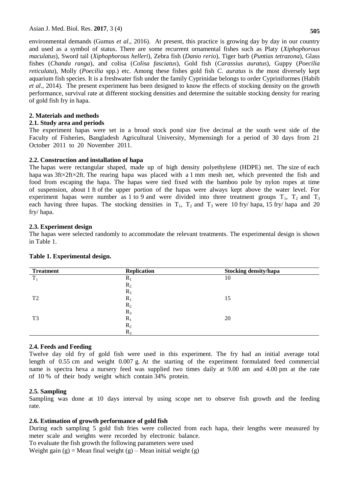environmental demands (Gumus *et al*., 2016). At present, this practice is growing day by day in our country and used as a symbol of status. There are some recurrent ornamental fishes such as Platy (*Xiphophorous maculatus*), Sword tail (*Xiphophorous helleri*), Zebra fish (*Danio rerio*), Tiger barb (*Puntias tetrazona*), Glass fishes (*Chanda ranga*), and colisa (*Colisa fasciatus*), Gold fish (*Carassius auratus*), Guppy (*Poecilia reticulata*), Molly (*Poecilia* spp.) etc. Among these fishes gold fish *C. auratus* is the most diversely kept aquarium fish species. It is a freshwater fish under the family Cyprinidae belongs to order Cypriniformes (Habib *et al*., 2014). The present experiment has been designed to know the effects of stocking density on the growth performance, survival rate at different stocking densities and determine the suitable stocking density for rearing of gold fish fry in hapa.

# **2. Materials and methods**

# **2.1. Study area and periods**

The experiment hapas were set in a brood stock pond size five decimal at the south west side of the Faculty of Fisheries, Bangladesh Agricultural University, Mymensingh for a period of 30 days from 21 October 2011 to 20 November 2011.

# **2.2. Construction and installation of hapa**

The hapas were rectangular shaped, made up of high density polyethylene (HDPE) net. The size of each hapa was 3ft×2ft×2ft. The rearing hapa was placed with a 1 mm mesh net, which prevented the fish and food from escaping the hapa. The hapas were tied fixed with the bamboo pole by nylon ropes at time of suspension, about 1 ft of the upper portion of the hapas were always kept above the water level. For experiment hapas were number as 1 to 9 and were divided into three treatment groups  $T_1$ ,  $T_2$  and  $T_3$ each having three hapas. The stocking densities in  $T_1$ ,  $T_2$  and  $T_3$  were 10 fry/ hapa, 15 fry/ hapa and 20 fry/ hapa.

# **2.3. Experiment design**

The hapas were selected randomly to accommodate the relevant treatments. The experimental design is shown in Table 1.

| <b>Treatment</b> | <b>Replication</b> | <b>Stocking density/hapa</b> |
|------------------|--------------------|------------------------------|
| $\mathbf{T}$     | $R_1$              | 10                           |
|                  | $R_2$              |                              |
|                  | $R_3$              |                              |
| T <sub>2</sub>   | $\mathbf{R}$       | 15                           |
|                  | $R_2$              |                              |
|                  | $R_{3}$            |                              |
| T <sub>3</sub>   | $R_1$              | 20                           |
|                  | $R_2$              |                              |
|                  | $R_3$              |                              |

# **Table 1. Experimental design.**

# **2.4. Feeds and Feeding**

Twelve day old fry of gold fish were used in this experiment. The fry had an initial average total length of 0.55 cm and weight 0.007 g. At the starting of the experiment formulated feed commercial name is spectra hexa a nursery feed was supplied two times daily at 9.00 am and 4.00 pm at the rate of 10 % of their body weight which contain 34% protein.

# **2.5. Sampling**

Sampling was done at 10 days interval by using scope net to observe fish growth and the feeding rate.

# **2.6. Estimation of growth performance of gold fish**

During each sampling 5 gold fish fries were collected from each hapa, their lengths were measured by meter scale and weights were recorded by electronic balance.

To evaluate the fish growth the following parameters were used

Weight gain  $(g)$  = Mean final weight  $(g)$  – Mean initial weight  $(g)$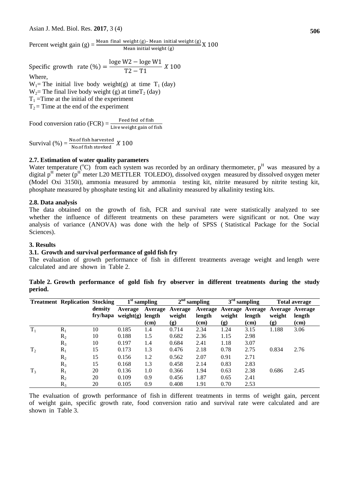Percent weight gain (g) =  $\frac{\text{Mean final weight (g)} - \text{Mean initial weight (g)}}{\text{Mean initial weight (g)}} X$ 

Specific growth rate  $(\%) =$ l T Where,

 $W_1$ = The initial live body weight(g) at time T<sub>1</sub> (day)  $W_2$ = The final live body weight (g) at time  $T_2$  (day)  $T_1$  =Time at the initial of the experiment  $T_2$  = Time at the end of the experiment

Food conversion ratio (FCR) =  $\frac{1}{L}$ 

Survival  $(\%) = \frac{N6}{N}$ 

# **2.7. Estimation of water quality parameters**

Water temperature ( $^{\circ}$ C) from each system was recorded by an ordinary thermometer,  $p$ <sup>H</sup> was measured by a digital  $p<sup>H</sup>$  meter ( $p<sup>H</sup>$  meter L20 METTLER TOLEDO), dissolved oxygen measured by dissolved oxygen meter (Model Oxi 3150i), ammonia measured by ammonia testing kit, nitrite measured by nitrite testing kit, phosphate measured by phosphate testing kit and alkalinity measured by alkalinity testing kits.

# **2.8. Data analysis**

The data obtained on the growth of fish, FCR and survival rate were statistically analyzed to see whether the influence of different treatments on these parameters were significant or not. One way analysis of variance (ANOVA) was done with the help of SPSS ( Statistical Package for the Social Sciences).

### **3. Results**

# **3.1. Growth and survival performance of gold fish fry**

The evaluation of growth performance of fish in different treatments average weight and length were calculated and are shown in Table 2.

| Table 2. Growth performance of gold fish fry observer in different treatments during the study |  |  |     |  |  |  |
|------------------------------------------------------------------------------------------------|--|--|-----|--|--|--|
| period.                                                                                        |  |  |     |  |  |  |
|                                                                                                |  |  | --- |  |  |  |

|                | <b>Treatment Replication Stocking</b> |          | $1st$ sampling     |         | 2 <sup>nd</sup> | sampling | $3rd$ sampling             |                        | <b>Total average</b>       |                        |
|----------------|---------------------------------------|----------|--------------------|---------|-----------------|----------|----------------------------|------------------------|----------------------------|------------------------|
|                |                                       | density  | Average            | Average | Average         | Average  |                            | <b>Average Average</b> |                            | <b>Average Average</b> |
|                |                                       | fry/hapa | $weight(g)$ length |         | weight          | length   | weight                     | length                 | weight                     | length                 |
|                |                                       |          |                    | (cm)    | (g)             | (cm)     | $\left( \mathbf{g}\right)$ | (cm)                   | $\left( \mathbf{g}\right)$ | (cm)                   |
| $T_1$          | $R_1$                                 | 10       | 0.185              | 1.4     | 0.714           | 2.34     | 1.24                       | 3.15                   | 1.188                      | 3.06                   |
|                | $R_2$                                 | 10       | 0.188              | 1.5     | 0.682           | 2.36     | 1.15                       | 2.98                   |                            |                        |
|                | $R_3$                                 | 10       | 0.197              | 1.4     | 0.684           | 2.41     | 1.18                       | 3.07                   |                            |                        |
| T <sub>2</sub> | $R_1$                                 | 15       | 0.173              | 1.3     | 0.476           | 2.18     | 0.78                       | 2.75                   | 0.834                      | 2.76                   |
|                | $R_2$                                 | 15       | 0.156              | 1.2     | 0.562           | 2.07     | 0.91                       | 2.71                   |                            |                        |
|                | $R_3$                                 | 15       | 0.168              | 1.3     | 0.458           | 2.14     | 0.83                       | 2.83                   |                            |                        |
| $T_3$          | $R_1$                                 | 20       | 0.136              | 1.0     | 0.366           | 1.94     | 0.63                       | 2.38                   | 0.686                      | 2.45                   |
|                | $R_2$                                 | 20       | 0.109              | 0.9     | 0.456           | 1.87     | 0.65                       | 2.41                   |                            |                        |
|                | $R_3$                                 | 20       | 0.105              | 0.9     | 0.408           | 1.91     | 0.70                       | 2.53                   |                            |                        |

The evaluation of growth performance of fish in different treatments in terms of weight gain, percent of weight gain, specific growth rate, food conversion ratio and survival rate were calculated and are shown in Table 3.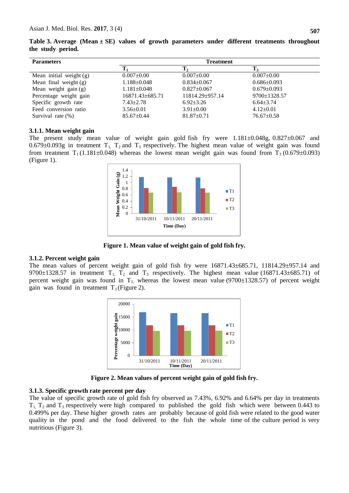| Table 3. Average (Mean $\pm$ SE) values of growth parameters under different treatments throughout |  |  |  |  |  |
|----------------------------------------------------------------------------------------------------|--|--|--|--|--|
| the study period.                                                                                  |  |  |  |  |  |

| <b>Parameters</b>         | <b>Treatment</b>      |                   |                    |  |  |  |  |  |
|---------------------------|-----------------------|-------------------|--------------------|--|--|--|--|--|
|                           | Tı                    | L2                | T3                 |  |  |  |  |  |
| Mean initial weight $(g)$ | $0.007 \pm 0.00$      | $0.007 \pm 0.00$  | $0.007 \pm 0.00$   |  |  |  |  |  |
| Mean final weight $(g)$   | $1.188 \pm 0.048$     | $0.834 \pm 0.067$ | $0.686 \pm 0.093$  |  |  |  |  |  |
| Mean weight gain $(g)$    | $1.181 \pm 0.048$     | $0.827 \pm 0.067$ | $0.679 \pm 0.093$  |  |  |  |  |  |
| Percentage weight gain    | $16871.43 \pm 685.71$ | 11814.29±957.14   | $9700 \pm 1328.57$ |  |  |  |  |  |
| Specific growth rate      | $7.43 \pm 2.78$       | $6.92 \pm 3.26$   | $6.64 \pm 3.74$    |  |  |  |  |  |
| Feed conversion ratio     | $3.56 \pm 0.01$       | $3.91 \pm 0.00$   | $4.12 \pm 0.01$    |  |  |  |  |  |
| Survival rate $(\%)$      | $85.67 \pm 0.44$      | $81.87 \pm 0.71$  | $76.67 \pm 0.58$   |  |  |  |  |  |

# **3.1.1. Mean weight gain**

The present study mean value of weight gain gold fish fry were  $1.181\pm0.048g$ ,  $0.827\pm0.067$  and  $0.679\pm0.093g$  in treatment T<sub>1</sub>, T<sub>2</sub> and T<sub>3</sub> respectively. The highest mean value of weight gain was found from treatment  $T_1(1.181\pm0.048)$  whereas the lowest mean weight gain was found from  $T_3(0.679\pm0.093)$ (Figure 1).



**Figure 1. Mean value of weight gain of gold fish fry.**

# **3.1.2. Percent weight gain**

The mean values of percent weight gain of gold fish fry were  $16871.43\pm685.71$ ,  $11814.29\pm957.14$  and 9700 $\pm$ 1328.57 in treatment T<sub>1</sub>, T<sub>2</sub> and T<sub>3</sub> respectively. The highest mean value (16871.43 $\pm$ 685.71) of percent weight gain was found in  $T_1$ , whereas the lowest mean value (9700 $\pm$ 1328.57) of percent weight gain was found in treatment  $T_3$  (Figure 2).



**Figure 2. Mean values of percent weight gain of gold fish fry.**

# **3.1.3. Specific growth rate percent per day**

The value of specific growth rate of gold fish fry observed as 7.43%, 6.92% and 6.64% per day in treatments  $T_1$ ,  $T_2$  and  $T_3$  respectively were high compared to published the gold fish which were between 0.443 to 0.499% per day. These higher growth rates are probably because of gold fish were related to the good water quality in the pond and the food delivered to the fish the whole time of the culture period is very nutritious (Figure 3).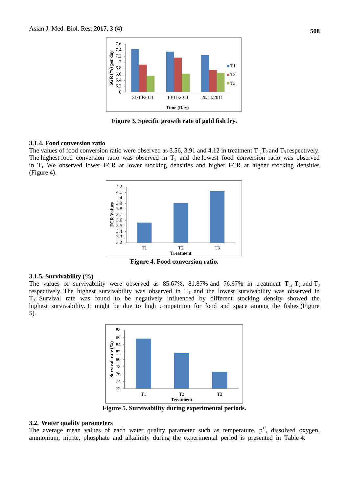

**Figure 3. Specific growth rate of gold fish fry.**

#### **3.1.4. Food conversion ratio**

The values of food conversion ratio were observed as 3.56, 3.91 and 4.12 in treatment  $T_1, T_2$  and  $T_3$  respectively. The highest food conversion ratio was observed in  $T_3$  and the lowest food conversion ratio was observed in T<sub>1</sub>. We observed lower FCR at lower stocking densities and higher FCR at higher stocking densities (Figure 4).



**Figure 4. Food conversion ratio.**

#### **3.1.5. Survivability (%)**

The values of survivability were observed as 85.67%, 81.87% and 76.67% in treatment  $T_1$ ,  $T_2$  and  $T_3$ respectively. The highest survivability was observed in  $T_1$  and the lowest survivability was observed in T3. Survival rate was found to be negatively influenced by different stocking density showed the highest survivability. It might be due to high competition for food and space among the fishes (Figure 5).



**Figure 5. Survivability during experimental periods.**

#### **3.2. Water quality parameters**

The average mean values of each water quality parameter such as temperature,  $p<sup>H</sup>$ , dissolved oxygen, ammonium, nitrite, phosphate and alkalinity during the experimental period is presented in Table 4.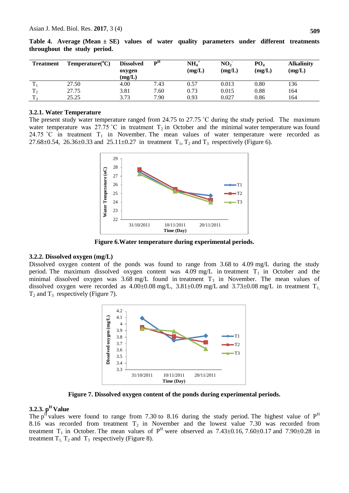| <b>Treatment</b>     | $Temperature(^{\circ}C)$ | <b>Dissolved</b><br>oxygen<br>(mg/L) | $\mathbf{p}^{\mathrm{H}}$ | $\mathbf{NH_{4}}^{+}$<br>(mg/L) | NO <sub>2</sub><br>(mg/L) | PO <sub>4</sub><br>(mg/L) | <b>Alkalinity</b><br>(mg/L) |
|----------------------|--------------------------|--------------------------------------|---------------------------|---------------------------------|---------------------------|---------------------------|-----------------------------|
| m.                   | 27.50                    | 4.00                                 | 7.43                      | 0.57                            | 0.013                     | 0.80                      | 136                         |
| T.<br>1 <sub>2</sub> | 27.75                    | 3.81                                 | 7.60                      | 0.73                            | 0.015                     | 0.88                      | 164                         |
| T.                   | 25.25                    | 3.73                                 | 7.90                      | 0.93                            | 0.027                     | 0.86                      | 164                         |

**Table 4. Average (Mean ± SE) values of water quality parameters under different treatments throughout the study period.**

# **3.2.1. Water Temperature**

The present study water temperature ranged from 24.75 to 27.75 °C during the study period. The maximum water temperature was 27.75 °C in treatment  $T_2$  in October and the minimal water temperature was found 24.75 °C in treatment  $T_1$  in November. The mean values of water temperature were recorded as 27.68 $\pm$ 0.54, 26.36 $\pm$ 0.33 and 25.11 $\pm$ 0.27 in treatment T<sub>1</sub>, T<sub>2</sub> and T<sub>3</sub> respectively (Figure 6).



**Figure 6.Water temperature during experimental periods.**

#### **3.2.2. Dissolved oxygen (mg/L)**

Dissolved oxygen content of the ponds was found to range from 3.68 to 4.09 mg/L during the study period. The maximum dissolved oxygen content was 4.09 mg/L in treatment  $T_1$  in October and the minimal dissolved oxygen was  $3.68 \text{ mg/L}$  found in treatment  $T_3$  in November. The mean values of dissolved oxygen were recorded as  $4.00\pm0.08$  mg/L,  $3.81\pm0.09$  mg/L and  $3.73\pm0.08$  mg/L in treatment T<sub>1</sub>  $T_2$  and  $T_3$  respectively (Figure 7).



**Figure 7. Dissolved oxygen content of the ponds during experimental periods.**

# **3.2.3. p <sup>H</sup>Value**

The p<sup>H</sup> values were found to range from 7.30 to 8.16 during the study period. The highest value of  $P<sup>H</sup>$ 8.16 was recorded from treatment  $T_2$  in November and the lowest value 7.30 was recorded from treatment T<sub>1</sub> in October. The mean values of  $P^H$  were observed as 7.43 $\pm$ 0.16, 7.60 $\pm$ 0.17 and 7.90 $\pm$ 0.28 in treatment  $T_1$ ,  $T_2$  and  $T_3$  respectively (Figure 8).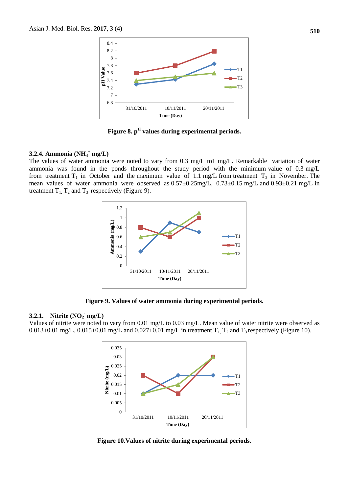

**Figure 8. p<sup>H</sup> values during experimental periods.**

# **3.2.4. Ammonia (NH<sup>4</sup> <sup>+</sup> mg/L)**

The values of water ammonia were noted to vary from 0.3 mg/L to1 mg/L. Remarkable variation of water ammonia was found in the ponds throughout the study period with the minimum value of 0.3 mg/L from treatment  $T_1$  in October and the maximum value of 1.1 mg/L from treatment  $T_3$  in November. The mean values of water ammonia were observed as 0.57±0.25mg/L, 0.73±0.15 mg/L and 0.93±0.21 mg/L in treatment  $T_1$ ,  $T_2$  and  $T_3$  respectively (Figure 9).



**Figure 9. Values of water ammonia during experimental periods.**

# **3.2.1. Nitrite (NO<sup>2</sup> - mg/L)**

Values of nitrite were noted to vary from 0.01 mg/L to 0.03 mg/L. Mean value of water nitrite were observed as 0.013±0.01 mg/L, 0.015±0.01 mg/L and 0.027±0.01 mg/L in treatment  $T_1$ ,  $T_2$  and  $T_3$  respectively (Figure 10).



**Figure 10.Values of nitrite during experimental periods.**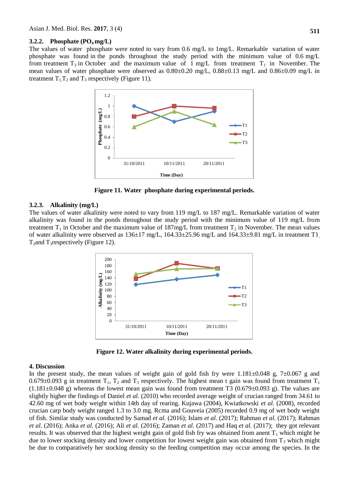#### **3.2.2. Phosphate (PO4 mg/L)**

The values of water phosphate were noted to vary from 0.6 mg/L to 1mg/L. Remarkable variation of water phosphate was found in the ponds throughout the study period with the minimum value of 0.6 mg/L from treatment  $T_3$  in October and the maximum value of 1 mg/L from treatment  $T_1$  in November. The mean values of water phosphate were observed as 0.80±0.20 mg/L, 0.88±0.13 mg/L and 0.86±0.09 mg/L in treatment  $T_1, T_2$  and  $T_3$  respectively (Figure 11).



**Figure 11. Water phosphate during experimental periods.**

#### **3.2.3. Alkalinity (mg/L)**

The values of water alkalinity were noted to vary from 119 mg/L to 187 mg/L. Remarkable variation of water alkalinity was found in the ponds throughout the study period with the minimum value of 119 mg/L from treatment  $T_1$  in October and the maximum value of 187mg/L from treatment  $T_2$  in November. The mean values of water alkalinity were observed as  $136\pm 17$  mg/L,  $164.33\pm 25.96$  mg/L and  $164.33\pm 9.81$  mg/L in treatment T1  $T_2$ and  $T_3$ respectively (Figure 12).



**Figure 12. Water alkalinity during experimental periods.**

#### **4. Discussion**

In the present study, the mean values of weight gain of gold fish fry were  $1.181\pm0.048$  g,  $7\pm0.067$  g and 0.679 $\pm$ 0.093 g in treatment T<sub>1</sub>, T<sub>2</sub> and T<sub>3</sub> respectively. The highest mean t gain was found from treatment T<sub>1</sub>  $(1.181\pm0.048 \text{ g})$  whereas the lowest mean gain was found from treatment T3  $(0.679\pm0.093 \text{ g})$ . The values are slightly higher the findings of Daniel *et al.* (2010) who recorded average weight of crucian ranged from 34.61 to 42.60 mg of wet body weight within 14th day of rearing. Kujawa (2004), Kwiatkowski *et al.* (2008), recorded crucian carp body weight ranged 1.3 to 3.0 mg. Rcma and Gouveia (2005) recorded 0.9 mg of wet body weight of fish. Similar study was conducted by Samad *et al.* (2016); Islam *et al.* (2017); Rahman *et al.* (2017); Rahman *et al.* (2016); Anka *et al.* (2016); Ali *et al.* (2016); Zaman *et al.* (2017) and Haq *et al.* (2017); they got relevant results. It was observed that the highest weight gain of gold fish fry was obtained from anent  $T_1$  which might be due to lower stocking density and lower competition for lowest weight gain was obtained from  $T_3$  which might be due to comparatively her stocking density so the feeding competition may occur among the species. In the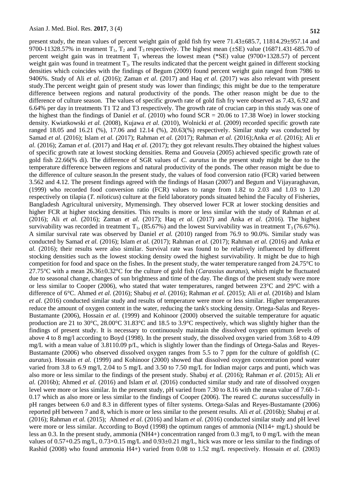present study, the mean values of percent weight gain of gold fish fry were 71.43±685.7, 11814.29±957.14 and 9700-11328.57% in treatment  $T_1$ ,  $T_2$  and  $T_3$  respectively. The highest mean ( $\pm$ SE) value (16871.431-685.70 of percent weight gain was in treatment  $T_1$  whereas the lowest mean (\*SE) value (9700×1328.57) of percent weight gain was found in treatment T<sub>3</sub>. The results indicated that the percent weight gained in different stocking densities which coincides with the findings of Begum (2009) found percent weight gain ranged from 7986 to 9406%. Study of Ali *et al.* (2016); Zaman *et al.* (2017) and Haq *et al.* (2017) was also relevant with present study.The percent weight gain of present study was lower than findings; this might be due to the temperature difference between regions and natural productivity of the ponds. The other reason might be due to the difference of culture season. The values of specific growth rate of gold fish fry were observed as 7.43, 6.92 and 6.64% per day in treatments T1 T2 and T3 respectively. The growth rate of crucian carp in this study was one of the highest than the findings of Daniel *et al.* (2010) who found SCR = 20.06 to 17.38 Woe) in lower stocking density. Kwiatkowski *et al.* (2008), Kujawa *et al.* (2010), Wolnicki *et al.* (2009) recorded specific growth rate ranged 18.05 and 16.21 (%), 17.06 and 12.14 (%), 20.63(%) respectively. Similar study was conducted by Samad *et al.* (2016); Islam *et al.* (2017); Rahman *et al.* (2017); Rahman *et al.* (2016);Anka *et al.* (2016); Ali *et al.* (2016); Zaman *et al.* (2017) and Haq *et al.* (2017); they got relevant results.They obtained the highest values of specific growth rate at lowest stocking densities. Rema and Gouveia (2005) achieved specific growth rate of gold fish 22.66(% di). The difference of SGR values of *C. auratus* in the present study might be due to the temperature difference between regions and natural productivity of the ponds. The other reason might be due to the difference of culture season.In the present study, the values of food conversion ratio (FCR) varied between 3.562 and 4.12. The present findings agreed with the findings of Hasan (2007) and Begum and Vijayaraghavan, (1999) who recorded food conversion ratio (FCR) values to range from 1.82 to 2.03 and 1.03 to 1.20 respectively on tilapia (*T. niloticus*) culture at the field laboratory ponds situated behind the Faculty of Fisheries, Bangladesh Agricultural university, Mymensingh. They observed lower FCR at lower stocking densities and higher FCR at higher stocking densities. This results is more or less similar with the study of Rahman *et al.* (2016); Ali *et al.* (2016); Zaman *et al.* (2017); Haq *et al.* (2017) and Anka *et al.* (2016). The highest survivability was recorded in treatment  $T_1$ , (85.67%) and the lowest Survivability was in treatment  $T_3$  (76.67%). A similar survival rate was observed by Daniel *et al.* (2010) ranged from 76.9 to 90.0%. Similar study was conducted by Samad *et al.* (2016); Islam *et al.* (2017); Rahman *et al.* (2017); Rahman *et al.* (2016) and Anka *et al.* (2016); their results were also similar. Survival rate was found to be relatively influenced by different stocking densities such as the lowest stocking density owed the highest survivability. It might be due to high competition for food and space on the fishes. In the present study, the water temperature ranged from 24.75°C to 27.75°C with a mean 26.36±0.32°C for the culture of gold fish (*Carassius auratus*), which might be fluctuated due to seasonal change, changes of sun brightness and time of the day. The dings of the present study were more or less similar to Cooper (2006), who stated that water temperatures, ranged between 23°C and 29°C with a difference of 6°C. Ahmed *et al.* (2016); Shabuj *et al.* (2016); Rahman *et al.* (2015); Ali *et al.* (2016b) and Islam *et al.* (2016) conducted similar study and results of temperature were more or less similar. Higher temperatures reduce the amount of oxygen content in the water, reducing the tank's stocking density. Ortega-Salas and Reyes-Bustamante (2006), Hossain *et al.* (1999) and Kohinoor (2000) observed the suitable temperature for aquatic production are 21 to 30°C, 28.00°C 31.83°C and 18.5 to 3.9°C respectively, which was slightly higher than the findings of present study. It is necessary to continuously maintain the dissolved oxygen optimum levels of above 4 to 8 mg/l according to Boyd (1998). In the present study, the dissolved oxygen varied from 3.68 to 4.09 mg/L with a mean value of 3.8110.09 p/I., which is slightly lower than the findings of Ortega-Salas and Reyes-Bustamante (2006) who observed dissolved oxygen ranges from 5.5 to 7 ppm for the culture of goldfish (*C. auratus*). Hossain *et al.* (1999) and Kohinoor (2000) showed that dissolved oxygen concentration pond water varied from 3.8 to 6.9 mg/I, 2.04 to 5 mg/L and 3.50 to 7.50 mg/L for Indian major carps and punti, which was also more or less similar to the findings of the present study. Shabuj *et al.* (2016); Rahman *et al.* (2015); Ali *et al.* (2016b); Ahmed *et al.* (2016) and Islam *et al.* (2016) conducted similar study and rate of dissolved oxygen level were more or less similar. In the present study, pH varied from 7.30 to 8.16 with the mean value of 7.60-1- 0.17 which as also more or less similar to the findings of Cooper (2006). The reared *C. auratus* successfully in pH ranges between 6.0 and 8.3 in different types of filter systems. Ortega-Salas and Reyes-Bustamante (2006) reported pH between 7 and 8, which is more or less similar to the present results. Ali *et al.* (2016b); Shabuj *et al.* (2016); Rahman *et al.* (2015); Ahmed *et al.* (2016) and Islam *et al.* (2016) conducted similar study and pH level were more or less similar. According to Boyd (1998) the optimum ranges of ammonia (NI14+ mg/L) should be less an 0.3. In the present study, ammonia (NH4+) concentration ranged from 0.3 mg/I, to 0 mg/L with the mean values of  $0.57+0.25$  mg/L,  $0.73\times0.15$  mg/L and  $0.93\pm0.21$  mg/L, hick was more or less similar to the findings of Rashid (2008) who found ammonia H4+) varied from 0.08 to 1.52 mg/L respectively. Hossain *et al.* (2003)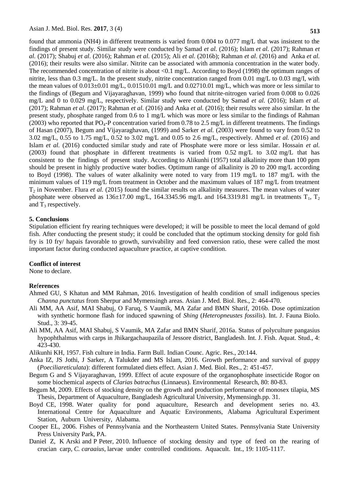found that ammonia (NH4) in different treatments is varied from 0.004 to 0.077 mg/L that was insistent to the findings of present study. Similar study were conducted by Samad *et al.* (2016); Islam *et al.* (2017); Rahman *et al.* (2017); Shabuj *et al.* (2016); Rahman *et al.* (2015); Ali *et al.* (2016b); Rahman *et al.* (2016) and Anka *et al.* (2016); their results were also similar. Nitrite can be associated with ammonia concentration in the water body. The recommended concentration of nitrite is about <0.1 mg/L. According to Boyd (1998) the optimum ranges of nitrite, less than 0.3 mg/L. In the present study, nitrite concentration ranged from 0.01 mg/L to 0.03 mg/I, with the mean values of 0.013±0.01 mg/L, 0.01510.01 mg/L and 0.02710.01 mg/L, which was more or less similar to the findings of (Begum and Vijayaraghavan, 1999) who found that nitrite-nitrogen varied from 0.008 to 0.026 mg/L and 0 to 0.029 mg/L, respectively. Similar study were conducted by Samad *et al.* (2016); Islam *et al.*  (2017); Rahman *et al.* (2017); Rahman *et al.* (2016) and Anka *et al.* (2016); their results were also similar. In the present study, phosphate ranged from 0.6 to 1 mg/L which was more or less similar to the findings of Rahman (2003) who reported that  $PQ_4$ -P concentration varied from 0.78 to 2.5 mg/L in different treatments. The findings of Hasan (2007), Begum and Vijayaraghavan, (1999) and Sarker *et al.* (2003) were found to vary from 0.52 to 3.02 mg/L, 0.55 to 1.75 mg/L, 0.52 to 3.02 mg/L and 0.05 to 2.6 mg/L, respectively. Ahmed *et al.* (2016) and Islam *et al.* (2016) conducted similar study and rate of Phosphate were more or less similar. Hossain *et al.* (2003) found that phosphate in different treatments is varied from  $0.52 \text{ mg/L}$  to  $3.02 \text{ mg/L}$  that has consistent to the findings of present study. According to Alikunhi (1957) total alkalinity more than 100 ppm should be present in highly productive water bodies. Optimum range of alkalinity is 20 to 200 mg/L according to Boyd (1998). The values of water alkalinity were noted to vary from 119 mg/L to 187 mg/L with the minimum values of 119 mg/L from treatment in October and the maximum values of 187 mg/L from treatment T<sup>2</sup> in November. Flura *et al.* (2015) found the similar results on alkalinity measures. The mean values of water phosphate were observed as  $136\pm17.00$  mg/L,  $164.3345.96$  mg/L and  $164.3319.81$  mg/L in treatments  $T_1$ ,  $T_2$ and  $T_3$  respectively.

### **5. Conclusions**

Stipulation efficient fry rearing techniques were developed; it will be possible to meet the local demand of gold fish. After conducting the present study; it could be concluded that the optimum stocking density for gold fish fry is 10 fry/ hapais favorable to growth, survivability and feed conversion ratio, these were called the most important factor during conducted aquaculture practice, at captive condition.

#### **Conflict of interest**

None to declare.

# **Re**f**erences**

- Ahmed GU, S Khatun and MM Rahman, 2016. Investigation of health condition of small indigenous species *Channa punctatus* from Sherpur and Mymensingh areas. Asian J. Med. Biol. Res., 2: 464-470.
- Ali MM, AA Asif, MAI Shabuj, O Faruq, S Vaumik, MA Zafar and BMN Sharif, 2016b. Dose optimization with synthetic hormone flash for induced spawning of *Shing* (*Heteropneustes fossilis*). Int. J. Fauna Biolo. Stud., 3: 39-45.
- Ali MM, AA Asif, MAI Shabuj, S Vaumik, MA Zafar and BMN Sharif, 2016a. Status of polyculture pangasius hypophthalmus with carps in Jhikargachaupazila of Jessore district, Bangladesh. Int. J. Fish. Aquat. Stud., 4: 423-430.

Alikunhi KH, 1957. Fish culture in India. Farm Bull. Indian Counc. Agric. Res., 20:144.

- Anka IZ, JS Jothi, J Sarker, A Talukder and MS Islam, 2016. Growth performance and survival of guppy (*Poeciliareticulata*): different formulated diets effect. Asian J. Med. Biol. Res., 2: 451-457.
- Begum G and S Vijayaraghavan, 1999. Effect of acute exposure of the organophosphate insecticide Rogor on some biochemical aspects of *Clarias batrachus* (Linnaeus). Environmental Research, 80: 80-83.
- Begum M, 2009. Effects of stocking density on the growth and production performance of monosex tilapia, MS Thesis, Department of Aquaculture, Bangladesh Agricultural University, Mymensingh.pp. 31.
- Boyd CE, 1998. Water quality for pond aquaculture, Research and development series no. 43. International Centre for Aquaculture and Aquatic Environments, Alabama Agricultural Experiment Station, Auburn University, Alabama.
- Cooper EL, 2006. Fishes of Pennsylvania and the Northeastern United States. Pennsylvania State University Press University Park, PA.
- Daniel Z, K Arski and P Peter, 2010. Influence of stocking density and type of feed on the rearing of crucian carp, *C. caraaius*, larvae under controlled conditions. Aquacult. Int., 19: 1105-1117.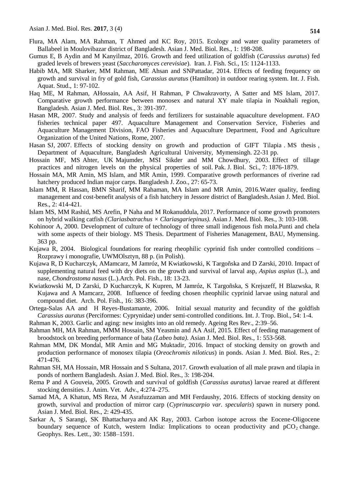- Flura, MA Alam, MA Rahman, T Ahmed and KC Roy, 2015. Ecology and water quality parameters of Ballabeel in Moulovibazar district of Bangladesh. Asian J. Med. Biol. Res., 1: 198-208.
- Gumus E, B Aydin and M Kanyilmaz, 2016. Growth and feed utilization of goldfish (*Carassius auratus*) fed graded levels of brewers yeast (*Saccharomyces cerevisiae*). Iran. J. Fish. Sci., 15: 1124-1133.
- Habib MA, MR Sharker, MM Rahman, ME Ahsan and SNPattadar, 2014. Effects of feeding frequency on growth and survival in fry of gold fish, *Carassius auratus* (Hamilton) in outdoor rearing system. Int. J. Fish. Aquat. Stud., 1: 97-102.
- Haq ME, M Rahman, AHossain, AA Asif, H Rahman, P Chwakravorty, A Satter and MS Islam, 2017. Comparative growth performance between monosex and natural XY male tilapia in Noakhali region, Bangladesh. Asian J. Med. Biol. Res., 3: 391-397.
- Hasan MR, 2007. Study and analysis of feeds and fertilizers for sustainable aquaculture development. FAO fisheries technical paper 497. Aquaculture Management and Conservation Service, Fisheries and Aquaculture Management Division, FAO Fisheries and Aquaculture Department, Food and Agriculture Organization of the United Nations, Rome, 2007.
- Hasan SJ, 2007. Effects of stocking density on growth and production of GIFT Tilapia . MS thesis , Department of Aquaculture, Bangladesh Agricultural University, Mymensingh. 22-31 pp.
- Hossain MF, MS Ahter, UK Majumder, MSI Sikder and MM Chowdhury, 2003. Effect of tillage practices and nitrogen levels on the physical properties of soil. Pak. J. Biol. Sci., 7: 1876-1879.
- Hossain MA, MR Amin, MS Islam, and MR Amin, 1999. Comparative growth performances of riverine rad hatchery produced Indian major carps. Bangladesh J. Zoo., 27: 65-73.
- Islam MM, R Hassan, BMN Sharif, MM Rahaman, MA Islam and MR Amin, 2016.Water quality, feeding management and cost-benefit analysis of a fish hatchery in Jessore district of Bangladesh.Asian J. Med. Biol. Res., 2: 414-421.
- Islam MS, MM Rashid, MS Arefin, P Naha and M Rokanuddula, 2017. Performance of some growth promoters on hybrid walking catfish *(Clariasbatrachus × Clariasgariepinus).* Asian J. Med. Biol. Res., 3: 103-108.
- Kohinoor A, 2000. Development of culture of technology of three small indigenous fish mola.Punti and chela with some aspects of their biology. MS Thesis. Department of Fisheries Management, BAU, Mymensing. 363 pp.
- Kujawa R, 2004. Biological foundations for rearing rheophilic cyprinid fish under controlled conditions Rozprawy i monografie, UWMOlsztyn, 88 p. (in Polish).
- Kujawa R, D Kucharczyk, AMamcarz, M Jamróz, M Kwiatkowski, K Targoñska and D Zarski, 2010. Impact of supplementing natural feed with dry diets on the growth and survival of larval asp, *Aspius aspius* (L.), and nase, *Chondrostoma nasus* (L.).Arch. Pol. Fish., 18: 13-23.
- Kwiatkowski M, D Zarski, D Kucharczyk, K Kupren, M Jamróz, K Targoñska, S Krejszeff, H Blazwska, R Kujawa and A Mamcarz, 2008. Influence of feeding chosen rheophilic cyprinid larvae using natural and compound diet. Arch. Pol. Fish., 16: 383-396.
- Ortega-Salas AA and H Reyes-Bustamante, 2006. Initial sexual maturity and fecundity of the goldfish *Carassius auratus* (Perciformes: Cyprynidae) under semi-controlled conditions. Int. J. Trop. Biol., 54: 1-4.
- Rahman K, 2003. Garlic and aging: new insights into an old remedy. Ageing Res Rev., 2:39–56.
- Rahman MH, MA Rahman, MMM Hossain, SM Yeasmin and AA Asif, 2015. Effect of feeding management of broodstock on breeding performance of bata *(Labeo bata)*. Asian J. Med. Biol. Res., 1: 553-568.
- Rahman MM, DK Mondal, MR Amin and MG Muktadir, 2016. Impact of stocking density on growth and production performance of monosex tilapia (*Oreochromis niloticus*) in ponds. Asian J. Med. Biol. Res., 2: 471-476.
- Rahman SH, MA Hossain, MR Hossain and S Sultana, 2017. Growth evaluation of all male prawn and tilapia in ponds of northern Bangladesh. Asian J. Med. Biol. Res., 3: 198-204.
- Rema P and A Gouveia, 2005. Growth and survival of goldfish (*Carassius auratus*) larvae reared at different stocking densities. J. Anim. Vet. Adv., 4:274–275.
- Samad MA, A Khatun, MS Reza, M Asrafuzzaman and MH Ferdaushy, 2016. Effects of stocking density on growth, survival and production of mirror carp (*Cyprinuscarpio var. specularis*) spawn in nursery pond. Asian J. Med. Biol. Res., 2: 429-435.
- Sarkar A, S Sarangi, SK Bhattacharya and AK Ray, 2003. Carbon isotope across the Eocene-Oligocene boundary sequence of Kutch, western India: Implications to ocean productivity and  $pCO<sub>2</sub>$  change. Geophys. Res. Lett., 30: 1588–1591.